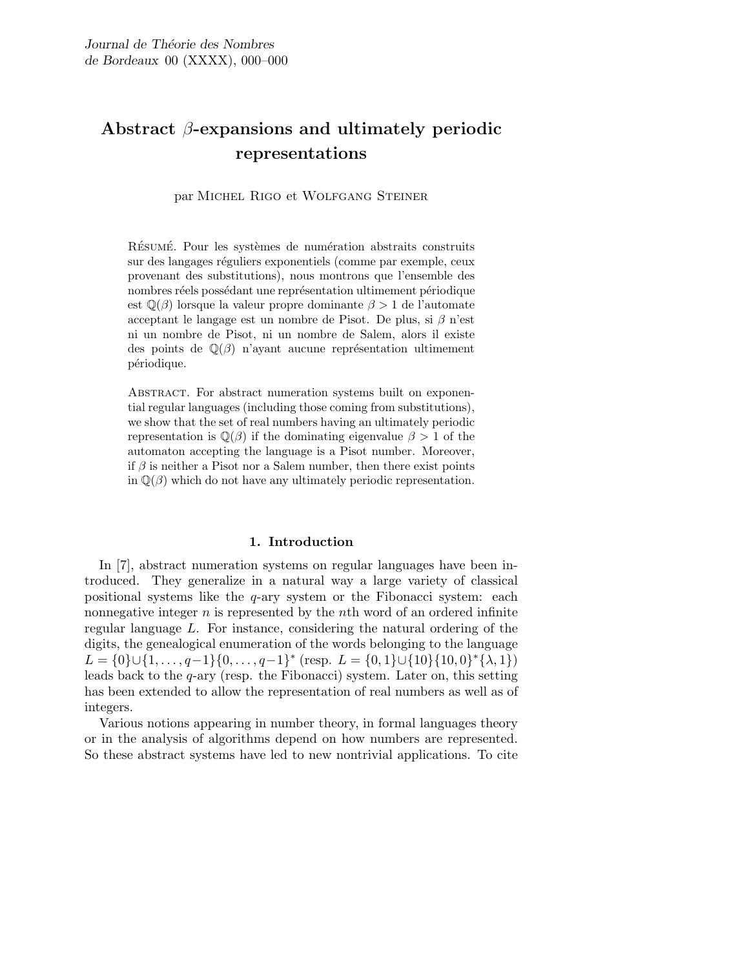# Abstract  $\beta$ -expansions and ultimately periodic representations

par Michel Rigo et Wolfgang Steiner

RÉSUMÉ. Pour les systèmes de numération abstraits construits sur des langages réguliers exponentiels (comme par exemple, ceux provenant des substitutions), nous montrons que l'ensemble des nombres réels possédant une représentation ultimement périodique est  $\mathbb{Q}(\beta)$  lorsque la valeur propre dominante  $\beta > 1$  de l'automate acceptant le langage est un nombre de Pisot. De plus, si  $\beta$  n'est ni un nombre de Pisot, ni un nombre de Salem, alors il existe des points de  $\mathbb{Q}(\beta)$  n'ayant aucune représentation ultimement périodique.

ABSTRACT. For abstract numeration systems built on exponential regular languages (including those coming from substitutions), we show that the set of real numbers having an ultimately periodic representation is  $\mathbb{Q}(\beta)$  if the dominating eigenvalue  $\beta > 1$  of the automaton accepting the language is a Pisot number. Moreover, if  $\beta$  is neither a Pisot nor a Salem number, then there exist points in  $\mathbb{Q}(\beta)$  which do not have any ultimately periodic representation.

## 1. Introduction

In [7], abstract numeration systems on regular languages have been introduced. They generalize in a natural way a large variety of classical positional systems like the  $q$ -ary system or the Fibonacci system: each nonnegative integer  $n$  is represented by the nth word of an ordered infinite regular language L. For instance, considering the natural ordering of the digits, the genealogical enumeration of the words belonging to the language L = {0} $\cup$ {1,..., q-1}{0,..., q-1}\* (resp. L = {0, 1} $\cup$ {10}{10, 0}\*{ $\lambda$ , 1}) leads back to the q-ary (resp. the Fibonacci) system. Later on, this setting has been extended to allow the representation of real numbers as well as of integers.

Various notions appearing in number theory, in formal languages theory or in the analysis of algorithms depend on how numbers are represented. So these abstract systems have led to new nontrivial applications. To cite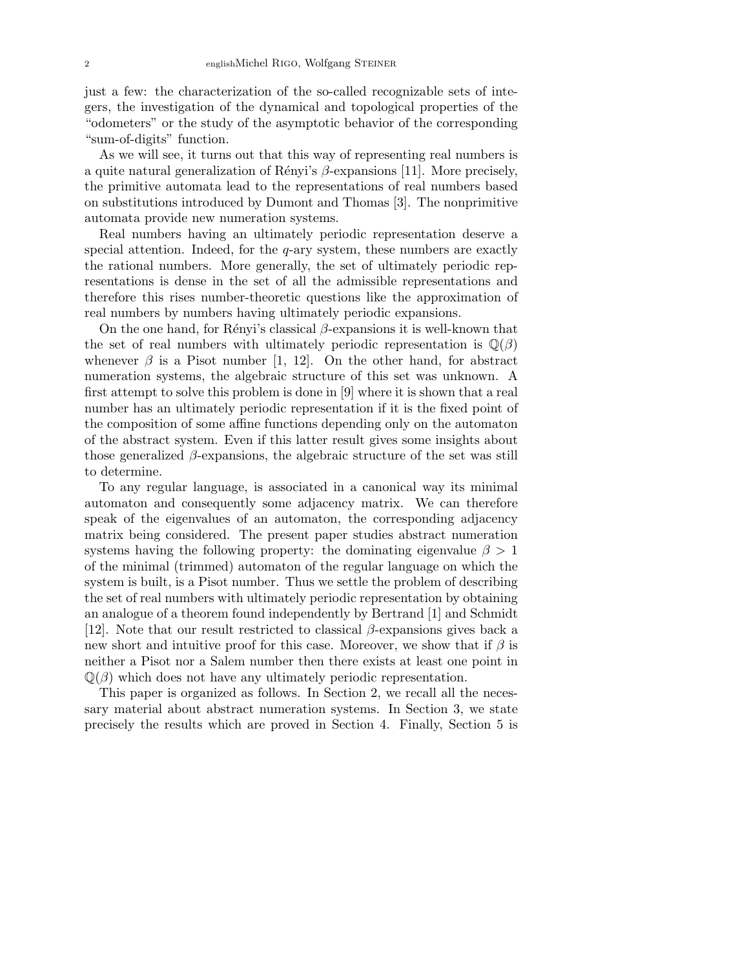just a few: the characterization of the so-called recognizable sets of integers, the investigation of the dynamical and topological properties of the "odometers" or the study of the asymptotic behavior of the corresponding "sum-of-digits" function.

As we will see, it turns out that this way of representing real numbers is a quite natural generalization of Rényi's  $\beta$ -expansions [11]. More precisely, the primitive automata lead to the representations of real numbers based on substitutions introduced by Dumont and Thomas [3]. The nonprimitive automata provide new numeration systems.

Real numbers having an ultimately periodic representation deserve a special attention. Indeed, for the  $q$ -ary system, these numbers are exactly the rational numbers. More generally, the set of ultimately periodic representations is dense in the set of all the admissible representations and therefore this rises number-theoretic questions like the approximation of real numbers by numbers having ultimately periodic expansions.

On the one hand, for Rényi's classical  $\beta$ -expansions it is well-known that the set of real numbers with ultimately periodic representation is  $\mathbb{Q}(\beta)$ whenever  $\beta$  is a Pisot number [1, 12]. On the other hand, for abstract numeration systems, the algebraic structure of this set was unknown. A first attempt to solve this problem is done in [9] where it is shown that a real number has an ultimately periodic representation if it is the fixed point of the composition of some affine functions depending only on the automaton of the abstract system. Even if this latter result gives some insights about those generalized  $\beta$ -expansions, the algebraic structure of the set was still to determine.

To any regular language, is associated in a canonical way its minimal automaton and consequently some adjacency matrix. We can therefore speak of the eigenvalues of an automaton, the corresponding adjacency matrix being considered. The present paper studies abstract numeration systems having the following property: the dominating eigenvalue  $\beta > 1$ of the minimal (trimmed) automaton of the regular language on which the system is built, is a Pisot number. Thus we settle the problem of describing the set of real numbers with ultimately periodic representation by obtaining an analogue of a theorem found independently by Bertrand [1] and Schmidt [12]. Note that our result restricted to classical  $\beta$ -expansions gives back a new short and intuitive proof for this case. Moreover, we show that if  $\beta$  is neither a Pisot nor a Salem number then there exists at least one point in  $\mathbb{Q}(\beta)$  which does not have any ultimately periodic representation.

This paper is organized as follows. In Section 2, we recall all the necessary material about abstract numeration systems. In Section 3, we state precisely the results which are proved in Section 4. Finally, Section 5 is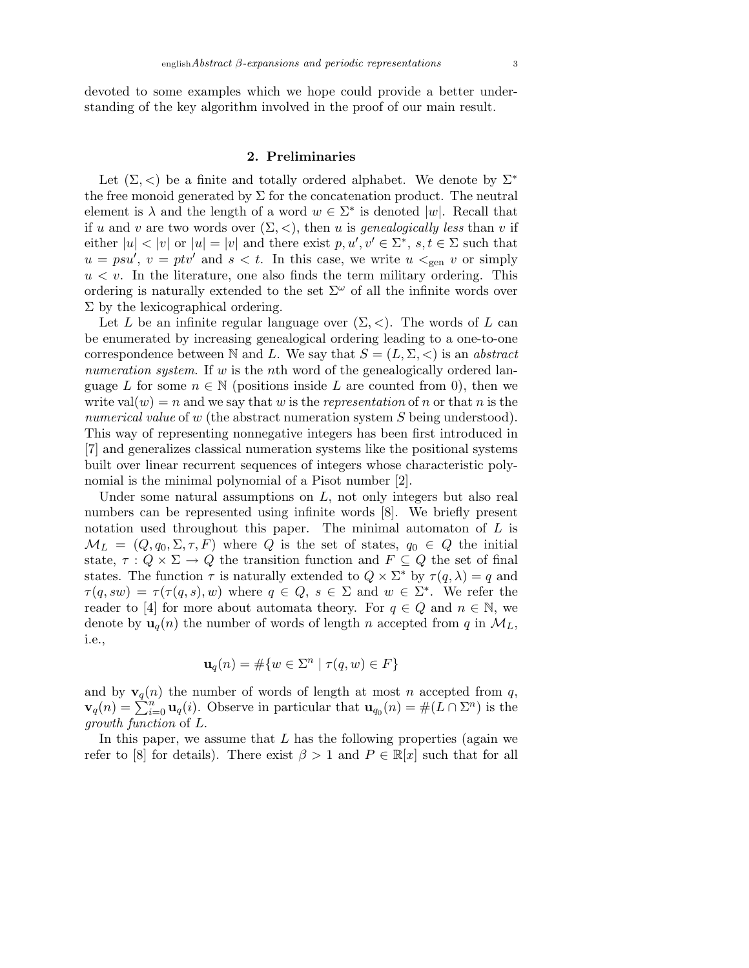devoted to some examples which we hope could provide a better understanding of the key algorithm involved in the proof of our main result.

### 2. Preliminaries

Let  $(\Sigma, <)$  be a finite and totally ordered alphabet. We denote by  $\Sigma^*$ the free monoid generated by  $\Sigma$  for the concatenation product. The neutral element is  $\lambda$  and the length of a word  $w \in \Sigma^*$  is denoted |w|. Recall that if u and v are two words over  $(\Sigma, <)$ , then u is *genealogically less* than v if either  $|u| < |v|$  or  $|u| = |v|$  and there exist  $p, u', v' \in \Sigma^*$ ,  $s, t \in \Sigma$  such that  $u = psu'$ ,  $v = ptv'$  and  $s < t$ . In this case, we write  $u <_{gen} v$  or simply  $u < v$ . In the literature, one also finds the term military ordering. This ordering is naturally extended to the set  $\Sigma^{\omega}$  of all the infinite words over  $\Sigma$  by the lexicographical ordering.

Let L be an infinite regular language over  $(\Sigma, <)$ . The words of L can be enumerated by increasing genealogical ordering leading to a one-to-one correspondence between N and L. We say that  $S = (L, \Sigma, <)$  is an abstract numeration system. If w is the nth word of the genealogically ordered language L for some  $n \in \mathbb{N}$  (positions inside L are counted from 0), then we write val $(w) = n$  and we say that w is the representation of n or that n is the numerical value of w (the abstract numeration system S being understood). This way of representing nonnegative integers has been first introduced in [7] and generalizes classical numeration systems like the positional systems built over linear recurrent sequences of integers whose characteristic polynomial is the minimal polynomial of a Pisot number [2].

Under some natural assumptions on  $L$ , not only integers but also real numbers can be represented using infinite words [8]. We briefly present notation used throughout this paper. The minimal automaton of  $L$  is  $\mathcal{M}_L = (Q, q_0, \Sigma, \tau, F)$  where Q is the set of states,  $q_0 \in Q$  the initial state,  $\tau : Q \times \Sigma \to Q$  the transition function and  $F \subseteq Q$  the set of final states. The function  $\tau$  is naturally extended to  $Q \times \Sigma^*$  by  $\tau(q, \lambda) = q$  and  $\tau(q,sw) = \tau(\tau(q,s),w)$  where  $q \in Q$ ,  $s \in \Sigma$  and  $w \in \Sigma^*$ . We refer the reader to [4] for more about automata theory. For  $q \in Q$  and  $n \in \mathbb{N}$ , we denote by  $\mathbf{u}_q(n)$  the number of words of length n accepted from q in  $\mathcal{M}_L$ , i.e.,

$$
\mathbf{u}_q(n) = \# \{ w \in \Sigma^n \mid \tau(q, w) \in F \}
$$

and by  $\mathbf{v}_q(n)$  the number of words of length at most n accepted from q,  $\mathbf{v}_q(n) = \sum_{i=0}^{n} \mathbf{u}_q(i)$ . Observe in particular that  $\mathbf{u}_{q_0}(n) = \#(L \cap \Sigma^n)$  is the growth function of L.

In this paper, we assume that  $L$  has the following properties (again we refer to [8] for details). There exist  $\beta > 1$  and  $P \in \mathbb{R}[x]$  such that for all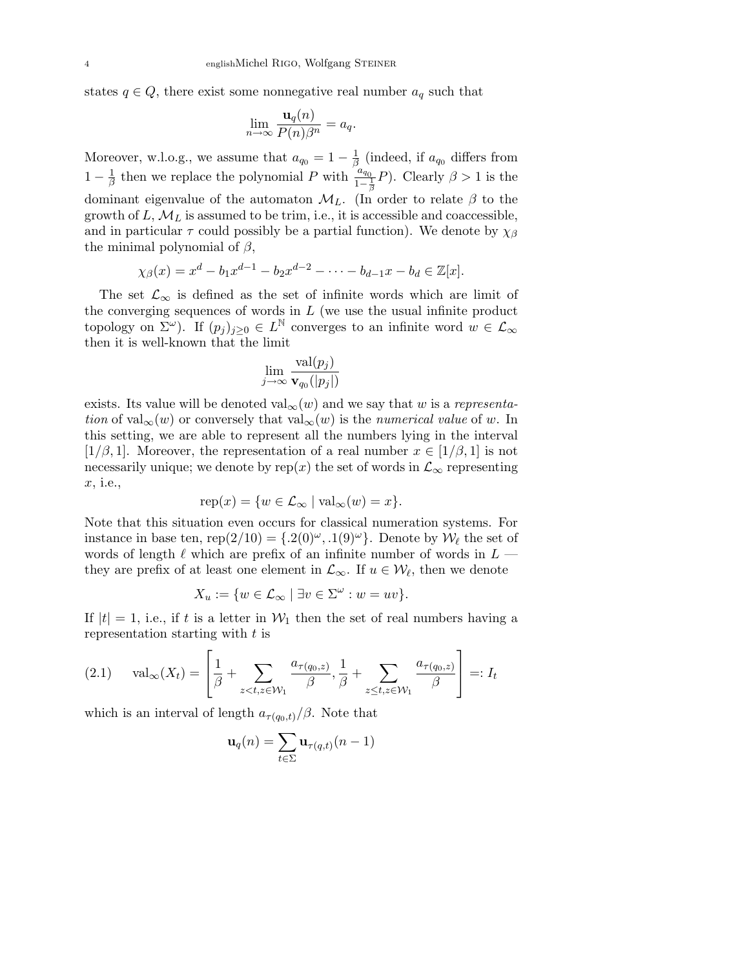states  $q \in Q$ , there exist some nonnegative real number  $a_q$  such that

$$
\lim_{n \to \infty} \frac{\mathbf{u}_q(n)}{P(n)\beta^n} = a_q.
$$

Moreover, w.l.o.g., we assume that  $a_{q_0} = 1 - \frac{1}{\beta}$  $\frac{1}{\beta}$  (indeed, if  $a_{q_0}$  differs from  $1-\frac{1}{6}$  $\frac{1}{\beta}$  then we replace the polynomial P with  $\frac{a_{q_0}}{1-\frac{1}{\beta}}P$ ). Clearly  $\beta > 1$  is the dominant eigenvalue of the automaton  $\mathcal{M}_L$ . (In order to relate  $\beta$  to the growth of  $L, \mathcal{M}_L$  is assumed to be trim, i.e., it is accessible and coaccessible, and in particular  $\tau$  could possibly be a partial function). We denote by  $\chi_{\beta}$ the minimal polynomial of  $\beta$ ,

$$
\chi_{\beta}(x) = x^d - b_1 x^{d-1} - b_2 x^{d-2} - \dots - b_{d-1} x - b_d \in \mathbb{Z}[x].
$$

The set  $\mathcal{L}_{\infty}$  is defined as the set of infinite words which are limit of the converging sequences of words in  $L$  (we use the usual infinite product topology on  $\Sigma^{\omega}$ ). If  $(p_j)_{j\geq 0} \in L^{\mathbb{N}}$  converges to an infinite word  $w \in \mathcal{L}_{\infty}$ then it is well-known that the limit

$$
\lim_{j\to\infty}\frac{\text{val}(p_j)}{\mathbf{v}_{q_0}(|p_j|)}
$$

exists. Its value will be denoted val<sub>∞</sub> $(w)$  and we say that w is a representation of val<sub>∞</sub> $(w)$  or conversely that val<sub>∞</sub> $(w)$  is the numerical value of w. In this setting, we are able to represent all the numbers lying in the interval  $[1/\beta, 1]$ . Moreover, the representation of a real number  $x \in [1/\beta, 1]$  is not necessarily unique; we denote by rep(x) the set of words in  $\mathcal{L}_{\infty}$  representing x, i.e.,

$$
rep(x) = \{w \in \mathcal{L}_{\infty} \mid val_{\infty}(w) = x\}.
$$

Note that this situation even occurs for classical numeration systems. For instance in base ten, rep(2/10) = { $.2(0)^\omega$ ,  $.1(9)^\omega$ }. Denote by  $\mathcal{W}_\ell$  the set of words of length  $\ell$  which are prefix of an infinite number of words in  $L$  they are prefix of at least one element in  $\mathcal{L}_{\infty}$ . If  $u \in \mathcal{W}_{\ell}$ , then we denote

$$
X_u := \{ w \in \mathcal{L}_{\infty} \mid \exists v \in \Sigma^{\omega} : w = uv \}.
$$

If  $|t| = 1$ , i.e., if t is a letter in  $W_1$  then the set of real numbers having a representation starting with  $t$  is

$$
(2.1) \quad \text{val}_{\infty}(X_t) = \left[\frac{1}{\beta} + \sum_{z < t, z \in \mathcal{W}_1} \frac{a_{\tau(q_0, z)}}{\beta}, \frac{1}{\beta} + \sum_{z \leq t, z \in \mathcal{W}_1} \frac{a_{\tau(q_0, z)}}{\beta}\right] =: I_t
$$

which is an interval of length  $a_{\tau(q_0,t)}/\beta$ . Note that

$$
\mathbf{u}_q(n) = \sum_{t \in \Sigma} \mathbf{u}_{\tau(q,t)}(n-1)
$$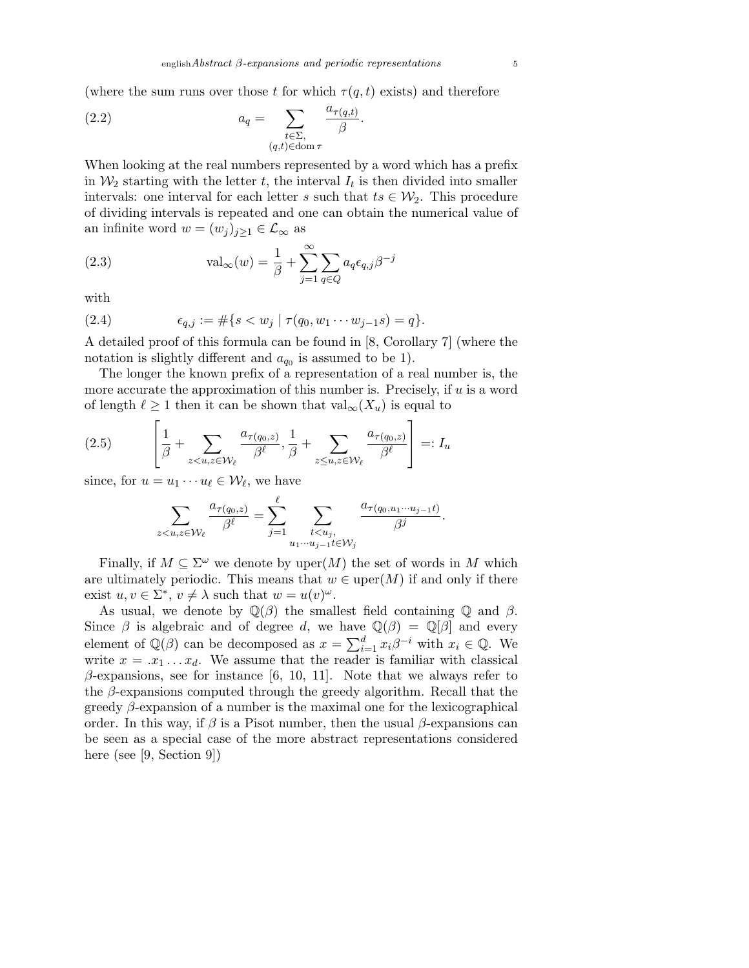(where the sum runs over those t for which  $\tau(q,t)$  exists) and therefore

(2.2) 
$$
a_q = \sum_{\substack{t \in \Sigma, \\ (q,t) \in \text{dom } \tau}} \frac{a_{\tau(q,t)}}{\beta}.
$$

When looking at the real numbers represented by a word which has a prefix in  $\mathcal{W}_2$  starting with the letter t, the interval  $I_t$  is then divided into smaller intervals: one interval for each letter s such that  $ts \in \mathcal{W}_2$ . This procedure of dividing intervals is repeated and one can obtain the numerical value of an infinite word  $w = (w_j)_{j\geq 1} \in \mathcal{L}_{\infty}$  as

(2.3) 
$$
\operatorname{val}_{\infty}(w) = \frac{1}{\beta} + \sum_{j=1}^{\infty} \sum_{q \in Q} a_q \epsilon_{q,j} \beta^{-j}
$$

with

(2.4) 
$$
\epsilon_{q,j} := \#\{s < w_j \mid \tau(q_0, w_1 \cdots w_{j-1} s) = q\}.
$$

A detailed proof of this formula can be found in [8, Corollary 7] (where the notation is slightly different and  $a_{q0}$  is assumed to be 1).

The longer the known prefix of a representation of a real number is, the more accurate the approximation of this number is. Precisely, if u is a word of length  $\ell \geq 1$  then it can be shown that  $val_{\infty}(X_u)$  is equal to

$$
(2.5) \qquad \left[\frac{1}{\beta} + \sum_{z < u, z \in \mathcal{W}_{\ell}} \frac{a_{\tau(q_0, z)}}{\beta^{\ell}}, \frac{1}{\beta} + \sum_{z \leq u, z \in \mathcal{W}_{\ell}} \frac{a_{\tau(q_0, z)}}{\beta^{\ell}}\right] =: I_u
$$

since, for  $u = u_1 \cdots u_\ell \in \mathcal{W}_\ell$ , we have

$$
\sum_{z
$$

Finally, if  $M \subseteq \Sigma^\omega$  we denote by uper $(M)$  the set of words in M which are ultimately periodic. This means that  $w \in \text{uper}(M)$  if and only if there exist  $u, v \in \Sigma^*$ ,  $v \neq \lambda$  such that  $w = u(v)^\omega$ .

As usual, we denote by  $\mathbb{Q}(\beta)$  the smallest field containing  $\mathbb{Q}$  and  $\beta$ . Since  $\beta$  is algebraic and of degree d, we have  $\mathbb{Q}(\beta) = \mathbb{Q}[\beta]$  and every element of  $\mathbb{Q}(\beta)$  can be decomposed as  $x = \sum_{i=1}^{d} x_i \beta^{-i}$  with  $x_i \in \mathbb{Q}$ . We write  $x = .x_1 \dots x_d$ . We assume that the reader is familiar with classical  $\beta$ -expansions, see for instance [6, 10, 11]. Note that we always refer to the  $\beta$ -expansions computed through the greedy algorithm. Recall that the greedy  $\beta$ -expansion of a number is the maximal one for the lexicographical order. In this way, if  $\beta$  is a Pisot number, then the usual  $\beta$ -expansions can be seen as a special case of the more abstract representations considered here (see [9, Section 9])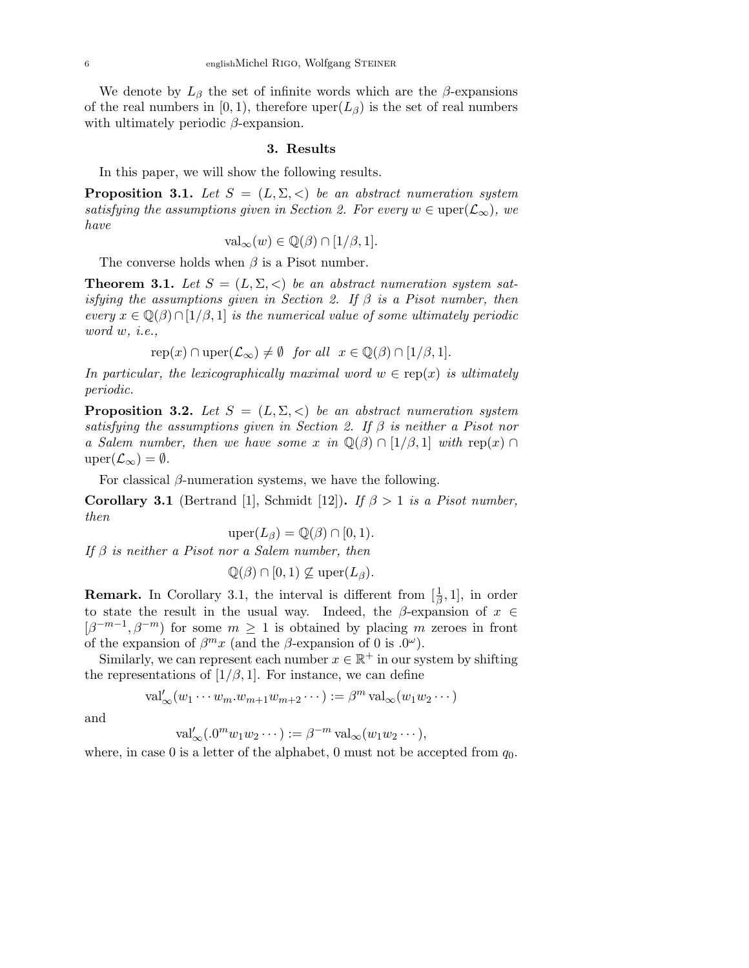We denote by  $L_\beta$  the set of infinite words which are the  $\beta$ -expansions of the real numbers in [0, 1), therefore uper( $L_{\beta}$ ) is the set of real numbers with ultimately periodic  $\beta$ -expansion.

#### 3. Results

In this paper, we will show the following results.

**Proposition 3.1.** Let  $S = (L, \Sigma, <)$  be an abstract numeration system satisfying the assumptions given in Section 2. For every  $w \in \text{uper}(\mathcal{L}_{\infty})$ , we have

$$
\text{val}_{\infty}(w) \in \mathbb{Q}(\beta) \cap [1/\beta, 1].
$$

The converse holds when  $\beta$  is a Pisot number.

**Theorem 3.1.** Let  $S = (L, \Sigma, \langle)$  be an abstract numeration system satisfying the assumptions given in Section 2. If  $\beta$  is a Pisot number, then every  $x \in \mathbb{Q}(\beta) \cap [1/\beta, 1]$  is the numerical value of some ultimately periodic word w, i.e.,

$$
rep(x) \cap upper(\mathcal{L}_{\infty}) \neq \emptyset \quad for all  $x \in \mathbb{Q}(\beta) \cap [1/\beta, 1].$
$$

In particular, the lexicographically maximal word  $w \in \text{rep}(x)$  is ultimately periodic.

**Proposition 3.2.** Let  $S = (L, \Sigma, \langle)$  be an abstract numeration system satisfying the assumptions given in Section 2. If  $\beta$  is neither a Pisot nor a Salem number, then we have some x in  $\mathbb{Q}(\beta) \cap [1/\beta, 1]$  with rep(x)  $\cap$  $\text{uper}(\mathcal{L}_{\infty}) = \emptyset.$ 

For classical  $\beta$ -numeration systems, we have the following.

**Corollary 3.1** (Bertrand [1], Schmidt [12]). If  $\beta > 1$  is a Pisot number, then

$$
\text{uper}(L_{\beta}) = \mathbb{Q}(\beta) \cap [0, 1).
$$

If  $\beta$  is neither a Pisot nor a Salem number, then

$$
\mathbb{Q}(\beta) \cap [0,1) \nsubseteq \text{uper}(L_{\beta}).
$$

**Remark.** In Corollary 3.1, the interval is different from  $[\frac{1}{\beta}, 1]$ , in order to state the result in the usual way. Indeed, the  $\beta$ -expansion of  $x \in$  $[\beta^{-m-1}, \beta^{-m}]$  for some  $m \geq 1$  is obtained by placing m zeroes in front of the expansion of  $\beta^m x$  (and the  $\beta$ -expansion of 0 is .0<sup> $\omega$ </sup>).

Similarly, we can represent each number  $x \in \mathbb{R}^+$  in our system by shifting the representations of  $[1/\beta, 1]$ . For instance, we can define

$$
\mathrm{val}'_{\infty}(w_1\cdots w_m.w_{m+1}w_{m+2}\cdots):=\beta^m \mathrm{val}_{\infty}(w_1w_2\cdots)
$$

and

$$
\mathrm{val}'_{\infty}(.0^m w_1 w_2 \cdots) := \beta^{-m} \mathrm{val}_{\infty}(w_1 w_2 \cdots),
$$

where, in case 0 is a letter of the alphabet, 0 must not be accepted from  $q_0$ .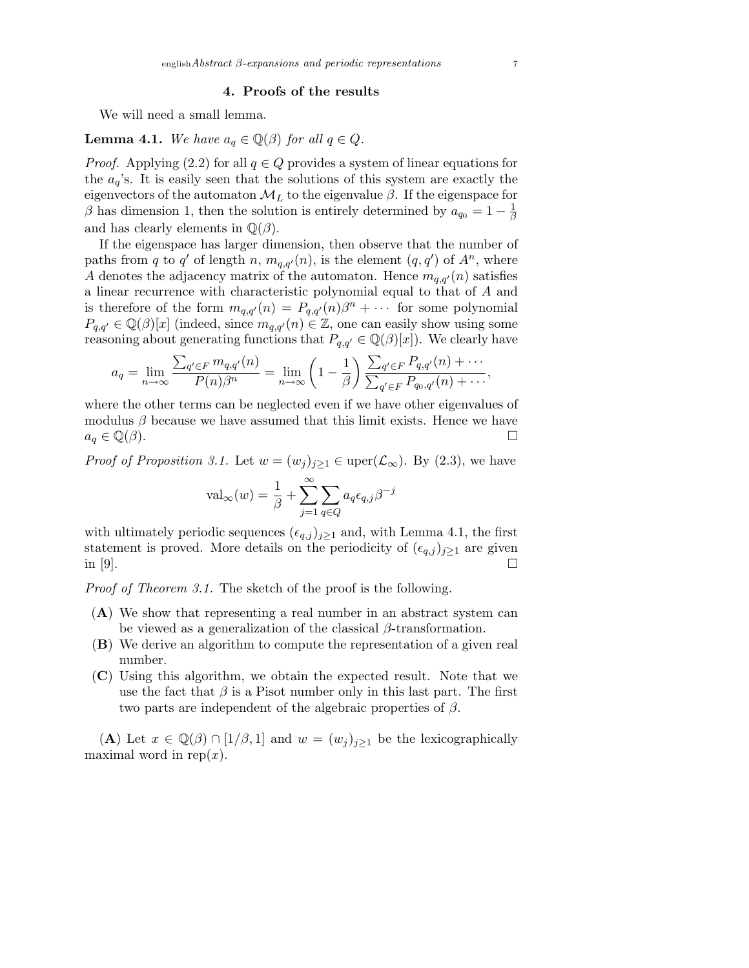### 4. Proofs of the results

We will need a small lemma.

**Lemma 4.1.** We have  $a_q \in \mathbb{Q}(\beta)$  for all  $q \in Q$ .

*Proof.* Applying (2.2) for all  $q \in Q$  provides a system of linear equations for the  $a_q$ 's. It is easily seen that the solutions of this system are exactly the eigenvectors of the automaton  $\mathcal{M}_L$  to the eigenvalue  $\beta$ . If the eigenspace for  $\beta$  has dimension 1, then the solution is entirely determined by  $a_{q_0} = 1 - \frac{1}{\beta}$ β and has clearly elements in  $\mathbb{Q}(\beta)$ .

If the eigenspace has larger dimension, then observe that the number of paths from q to q' of length n,  $m_{q,q'}(n)$ , is the element  $(q, q')$  of  $A<sup>n</sup>$ , where A denotes the adjacency matrix of the automaton. Hence  $m_{q,q'}(n)$  satisfies a linear recurrence with characteristic polynomial equal to that of A and is therefore of the form  $m_{q,q'}(n) = P_{q,q'}(n)\beta^n + \cdots$  for some polynomial  $P_{q,q'} \in \mathbb{Q}(\beta)[x]$  (indeed, since  $m_{q,q'}(n) \in \mathbb{Z}$ , one can easily show using some reasoning about generating functions that  $P_{q,q'} \in \mathbb{Q}(\beta)[x]$ . We clearly have

$$
a_q = \lim_{n \to \infty} \frac{\sum_{q' \in F} m_{q,q'}(n)}{P(n)\beta^n} = \lim_{n \to \infty} \left(1 - \frac{1}{\beta}\right) \frac{\sum_{q' \in F} P_{q,q'}(n) + \cdots}{\sum_{q' \in F} P_{q_0,q'}(n) + \cdots},
$$

where the other terms can be neglected even if we have other eigenvalues of modulus  $\beta$  because we have assumed that this limit exists. Hence we have  $a_q \in \mathbb{Q}(\beta).$ 

*Proof of Proposition 3.1.* Let  $w = (w_j)_{j \geq 1} \in \text{uper}(\mathcal{L}_{\infty})$ . By (2.3), we have

$$
\text{val}_{\infty}(w) = \frac{1}{\beta} + \sum_{j=1}^{\infty} \sum_{q \in Q} a_q \epsilon_{q,j} \beta^{-j}
$$

with ultimately periodic sequences  $(\epsilon_{q,j})_{j\geq1}$  and, with Lemma 4.1, the first statement is proved. More details on the periodicity of  $(\epsilon_{q,j})_{j\geq 1}$  are given in [9].

Proof of Theorem 3.1. The sketch of the proof is the following.

- (A) We show that representing a real number in an abstract system can be viewed as a generalization of the classical  $\beta$ -transformation.
- (B) We derive an algorithm to compute the representation of a given real number.
- (C) Using this algorithm, we obtain the expected result. Note that we use the fact that  $\beta$  is a Pisot number only in this last part. The first two parts are independent of the algebraic properties of  $\beta$ .

(A) Let  $x \in \mathbb{Q}(\beta) \cap [1/\beta, 1]$  and  $w = (w_j)_{j\geq 1}$  be the lexicographically maximal word in rep $(x)$ .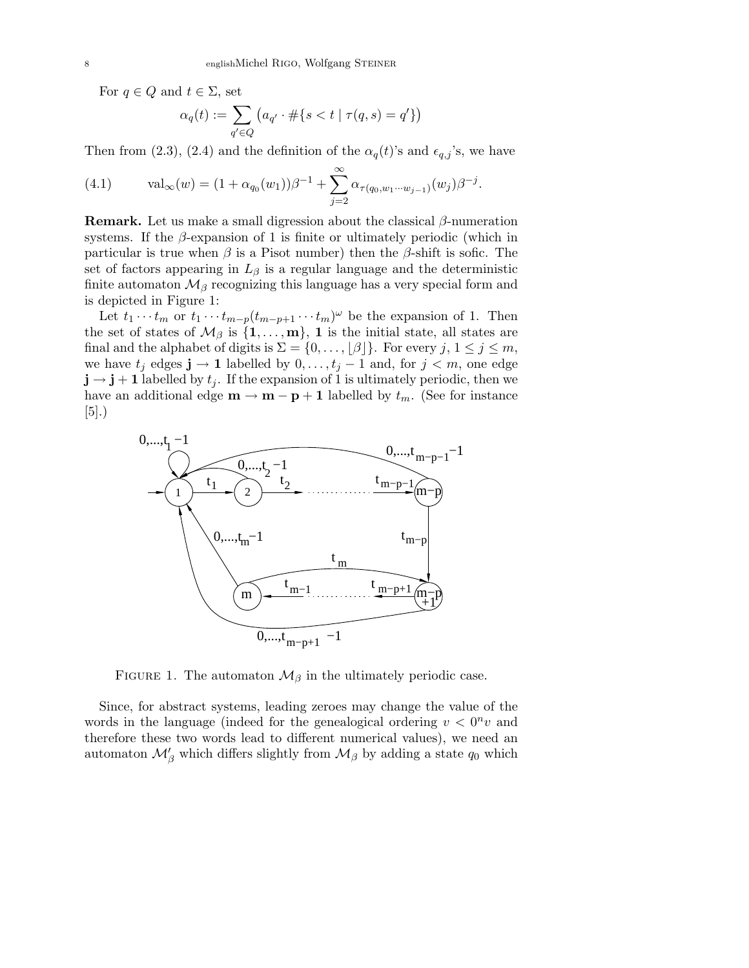For  $q \in Q$  and  $t \in \Sigma$ , set

$$
\alpha_q(t):=\sum_{q'\in Q}\left(a_{q'}\cdot\#\{s
$$

Then from (2.3), (2.4) and the definition of the  $\alpha_q(t)$ 's and  $\epsilon_{q,j}$ 's, we have

(4.1) 
$$
\text{val}_{\infty}(w) = (1 + \alpha_{q_0}(w_1))\beta^{-1} + \sum_{j=2}^{\infty} \alpha_{\tau(q_0, w_1 \cdots w_{j-1})}(w_j)\beta^{-j}.
$$

**Remark.** Let us make a small digression about the classical  $\beta$ -numeration systems. If the  $\beta$ -expansion of 1 is finite or ultimately periodic (which in particular is true when  $\beta$  is a Pisot number) then the  $\beta$ -shift is sofic. The set of factors appearing in  $L_{\beta}$  is a regular language and the deterministic finite automaton  $\mathcal{M}_{\beta}$  recognizing this language has a very special form and is depicted in Figure 1:

Let  $t_1 \cdots t_m$  or  $t_1 \cdots t_{m-p}(t_{m-p+1} \cdots t_m)^\omega$  be the expansion of 1. Then the set of states of  $\mathcal{M}_{\beta}$  is  $\{1, \ldots, m\}$ , 1 is the initial state, all states are final and the alphabet of digits is  $\Sigma = \{0, \ldots, \lfloor \beta \rfloor\}$ . For every  $j, 1 \le j \le m$ , we have  $t_j$  edges  $\mathbf{j} \to \mathbf{1}$  labelled by  $0, \ldots, t_j - 1$  and, for  $j < m$ , one edge  $\mathbf{j} \rightarrow \mathbf{j} + \mathbf{1}$  labelled by  $t_j$ . If the expansion of 1 is ultimately periodic, then we have an additional edge  $\mathbf{m} \to \mathbf{m} - \mathbf{p} + \mathbf{1}$  labelled by  $t_m$ . (See for instance [5].)



FIGURE 1. The automaton  $\mathcal{M}_{\beta}$  in the ultimately periodic case.

Since, for abstract systems, leading zeroes may change the value of the words in the language (indeed for the genealogical ordering  $v < 0<sup>n</sup> v$  and therefore these two words lead to different numerical values), we need an automaton  $\mathcal{M}'_{\beta}$  which differs slightly from  $\mathcal{M}_{\beta}$  by adding a state  $q_0$  which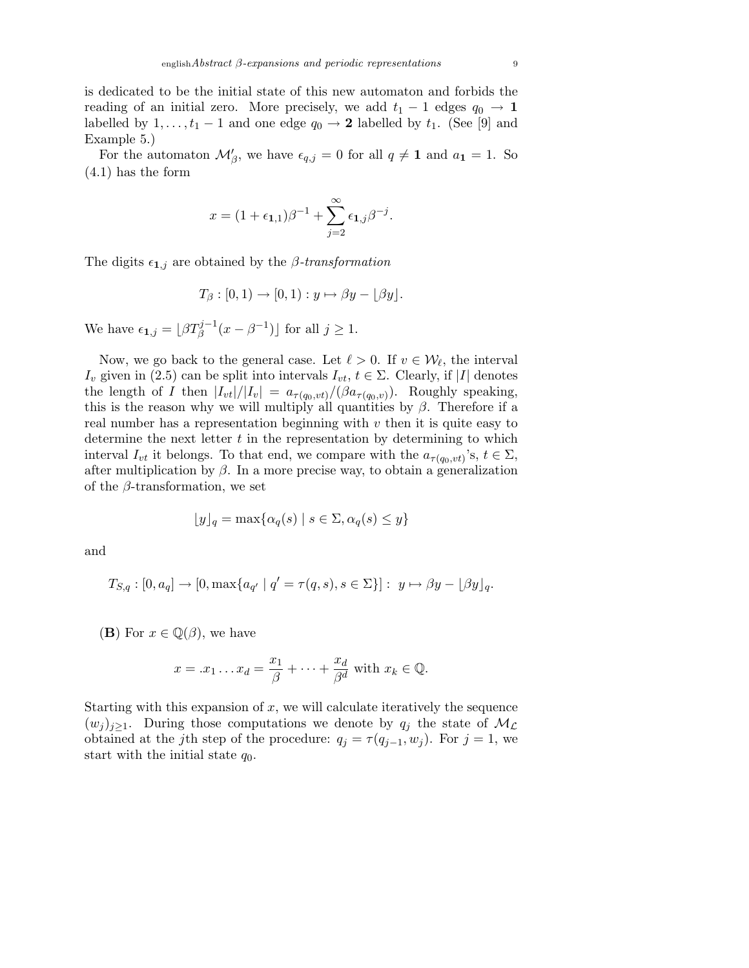is dedicated to be the initial state of this new automaton and forbids the reading of an initial zero. More precisely, we add  $t_1 - 1$  edges  $q_0 \rightarrow 1$ labelled by  $1, \ldots, t_1 - 1$  and one edge  $q_0 \rightarrow 2$  labelled by  $t_1$ . (See [9] and Example 5.)

For the automaton  $\mathcal{M}'_{\beta}$ , we have  $\epsilon_{q,j} = 0$  for all  $q \neq 1$  and  $a_1 = 1$ . So (4.1) has the form

$$
x = (1 + \epsilon_{1,1})\beta^{-1} + \sum_{j=2}^{\infty} \epsilon_{1,j}\beta^{-j}.
$$

The digits  $\epsilon_{1,j}$  are obtained by the *β*-transformation

$$
T_{\beta}:[0,1)\to[0,1):y\mapsto \beta y-\lfloor \beta y\rfloor.
$$

We have  $\epsilon_{1,j} = \lfloor \beta T_{\beta}^{j-1}(x - \beta^{-1}) \rfloor$  for all  $j \ge 1$ .

Now, we go back to the general case. Let  $\ell > 0$ . If  $v \in \mathcal{W}_{\ell}$ , the interval  $I_v$  given in (2.5) can be split into intervals  $I_{vt}$ ,  $t \in \Sigma$ . Clearly, if |I| denotes the length of I then  $|I_{vt}|/|I_v| = a_{\tau(q_0, vt)}/(\beta a_{\tau(q_0, v)})$ . Roughly speaking, this is the reason why we will multiply all quantities by  $\beta$ . Therefore if a real number has a representation beginning with  $v$  then it is quite easy to determine the next letter  $t$  in the representation by determining to which interval  $I_{vt}$  it belongs. To that end, we compare with the  $a_{\tau(q_0, vt)}$ 's,  $t \in \Sigma$ , after multiplication by  $\beta$ . In a more precise way, to obtain a generalization of the  $\beta$ -transformation, we set

$$
\lfloor y \rfloor_q = \max\{\alpha_q(s) \mid s \in \Sigma, \alpha_q(s) \le y\}
$$

and

$$
T_{S,q}: [0, a_q] \to [0, \max\{a_{q'} \mid q' = \tau(q, s), s \in \Sigma\}]: y \mapsto \beta y - \lfloor \beta y \rfloor_q.
$$

(**B**) For  $x \in \mathbb{Q}(\beta)$ , we have

$$
x = .x_1 \dots x_d = \frac{x_1}{\beta} + \dots + \frac{x_d}{\beta^d} \text{ with } x_k \in \mathbb{Q}.
$$

Starting with this expansion of  $x$ , we will calculate iteratively the sequence  $(w_i)_{i\geq 1}$ . During those computations we denote by  $q_i$  the state of  $\mathcal{M}_{\mathcal{L}}$ obtained at the j<sup>th</sup> step of the procedure:  $q_j = \tau(q_{j-1}, w_j)$ . For  $j = 1$ , we start with the initial state  $q_0$ .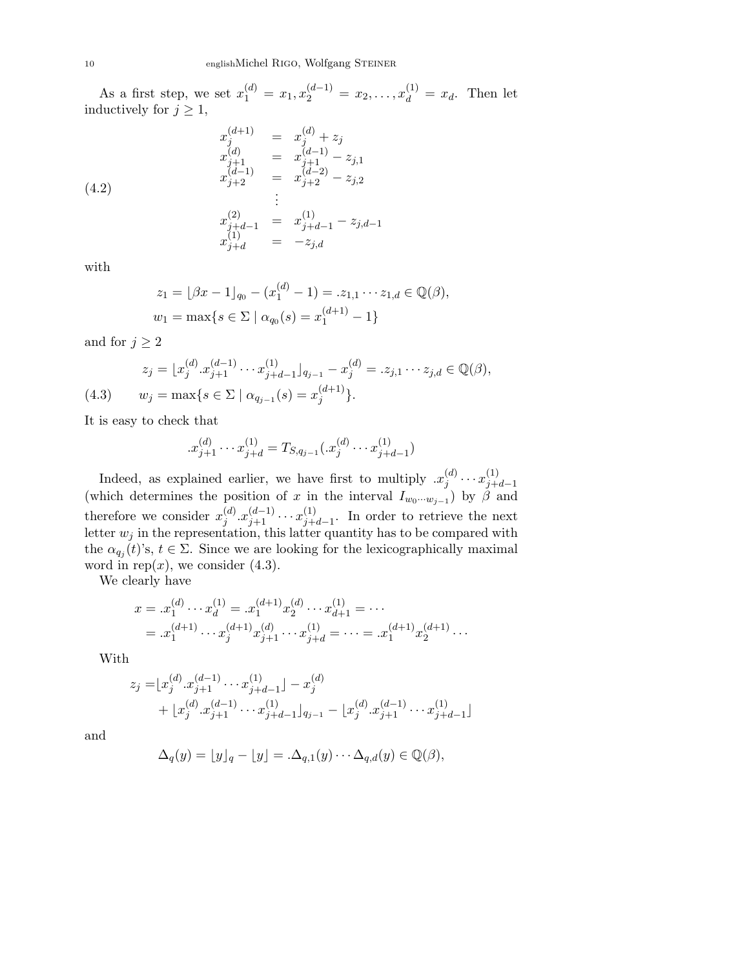As a first step, we set  $x_1^{(d)} = x_1, x_2^{(d-1)} = x_2, \ldots, x_d^{(1)} = x_d$ . Then let inductively for  $j \geq 1$ ,

$$
x_{j}^{(d+1)} = x_{j}^{(d)} + z_{j}
$$
  
\n
$$
x_{j+1}^{(d)} = x_{j+1}^{(d-1)} - z_{j,1}
$$
  
\n
$$
x_{j+2}^{(d-1)} = x_{j+2}^{(d-2)} - z_{j,2}
$$
  
\n
$$
\vdots
$$
  
\n
$$
x_{j+d-1}^{(2)} = x_{j+d-1}^{(1)} - z_{j,d-1}
$$
  
\n
$$
x_{j+d}^{(1)} = -z_{j,d}
$$

with

$$
z_1 = \lfloor \beta x - 1 \rfloor_{q_0} - (x_1^{(d)} - 1) = z_{1,1} \cdots z_{1,d} \in \mathbb{Q}(\beta),
$$
  

$$
w_1 = \max\{s \in \Sigma \mid \alpha_{q_0}(s) = x_1^{(d+1)} - 1\}
$$

and for  $j \geq 2$ 

$$
z_j = \lfloor x_j^{(d)} \cdot x_{j+1}^{(d-1)} \cdots x_{j+d-1}^{(1)} \rfloor_{q_{j-1}} - x_j^{(d)} = z_{j,1} \cdots z_{j,d} \in \mathbb{Q}(\beta),
$$
  
(4.3) 
$$
w_j = \max\{s \in \Sigma \mid \alpha_{q_{j-1}}(s) = x_j^{(d+1)}\}.
$$

It is easy to check that

$$
x_{j+1}^{(d)} \cdots x_{j+d}^{(1)} = T_{S,q_{j-1}}(x_j^{(d)} \cdots x_{j+d-1}^{(1)})
$$

Indeed, as explained earlier, we have first to multiply  $x_i^{(d)}$  $\binom{d}{j} \cdots x_{j+1}^{(1)}$  $j+d-1$ (which determines the position of x in the interval  $I_{w_0\cdots w_{j-1}}$ ) by  $\beta$  and therefore we consider  $x_i^{(d)}$  $j^{(d)} \cdot x_{j+1}^{(d-1)} \cdots x_{j+1}^{(1)}$  $j+d-1$ . In order to retrieve the next letter  $w_j$  in the representation, this latter quantity has to be compared with the  $\alpha_{q_j}(t)$ 's,  $t \in \Sigma$ . Since we are looking for the lexicographically maximal word in rep $(x)$ , we consider  $(4.3)$ .

We clearly have

$$
x = .x_1^{(d)} \cdots x_d^{(1)} = .x_1^{(d+1)} x_2^{(d)} \cdots x_{d+1}^{(1)} = \cdots
$$
  
= .x\_1^{(d+1)} \cdots x\_j^{(d+1)} x\_{j+1}^{(d)} \cdots x\_{j+d}^{(1)} = \cdots = .x\_1^{(d+1)} x\_2^{(d+1)} \cdots

With

$$
z_j = [x_j^{(d)} \cdot x_{j+1}^{(d-1)} \cdots x_{j+d-1}^{(1)}] - x_j^{(d)}
$$
  
+ 
$$
[x_j^{(d)} \cdot x_{j+1}^{(d-1)} \cdots x_{j+d-1}^{(1)}]_{q_{j-1}} - [x_j^{(d)} \cdot x_{j+1}^{(d-1)} \cdots x_{j+d-1}^{(1)}]
$$

and

$$
\Delta_q(y) = \lfloor y \rfloor_q - \lfloor y \rfloor = \Delta_{q,1}(y) \cdots \Delta_{q,d}(y) \in \mathbb{Q}(\beta),
$$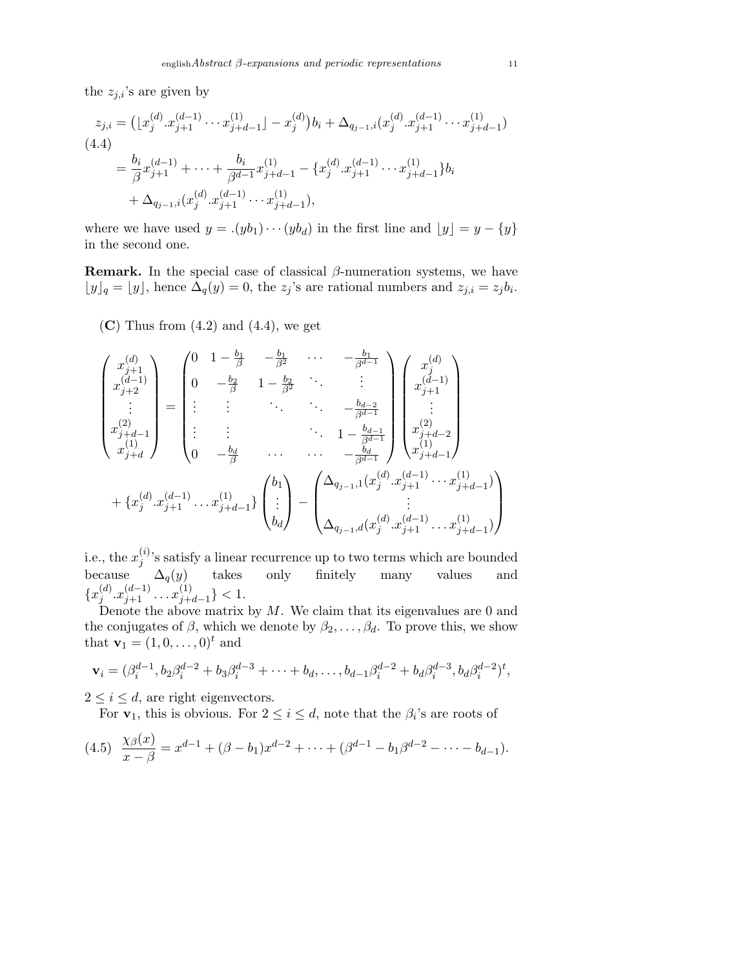the  $z_{j,i}$ 's are given by

$$
z_{j,i} = ( \lfloor x_j^{(d)} \cdot x_{j+1}^{(d-1)} \cdots x_{j+d-1}^{(1)} \rfloor - x_j^{(d)} ) b_i + \Delta_{q_{j-1},i} (x_j^{(d)} \cdot x_{j+1}^{(d-1)} \cdots x_{j+d-1}^{(1)} )
$$
  
(4.4)  

$$
= \frac{b_i}{\beta} x_{j+1}^{(d-1)} + \cdots + \frac{b_i}{\beta^{d-1}} x_{j+d-1}^{(1)} - \{ x_j^{(d)} \cdot x_{j+1}^{(d-1)} \cdots x_{j+d-1}^{(1)} \} b_i
$$

$$
+ \Delta_{q_{j-1},i} (x_j^{(d)} \cdot x_{j+1}^{(d-1)} \cdots x_{j+d-1}^{(1)} ),
$$

where we have used  $y = .(yb_1)\cdots (yb_d)$  in the first line and  $\lfloor y \rfloor = y - \{y\}$ in the second one.

**Remark.** In the special case of classical  $\beta$ -numeration systems, we have  $\lfloor y \rfloor_q = \lfloor y \rfloor$ , hence  $\Delta_q(y) = 0$ , the  $z_j$ 's are rational numbers and  $z_{j,i} = z_j b_i$ .

 $(C)$  Thus from  $(4.2)$  and  $(4.4)$ , we get

$$
\begin{pmatrix}\nx_{j+1}^{(d)} \\
x_{j+2}^{(d-1)} \\
\vdots \\
x_{j+d}^{(2)}\n\end{pmatrix} = \begin{pmatrix}\n0 & 1 - \frac{b_1}{\beta} & -\frac{b_1}{\beta^2} & \cdots & -\frac{b_1}{\beta^{d-1}} \\
0 & -\frac{b_2}{\beta} & 1 - \frac{b_2}{\beta^2} & \cdots & \vdots \\
\vdots & \vdots & \ddots & \ddots & -\frac{b_{d-2}}{\beta^{d-1}} \\
x_{j+d}^{(2)}\n\end{pmatrix} \begin{pmatrix}\nx_j^{(d)} \\
x_{j+1}^{(d-1)} \\
\vdots \\
x_{j+d}^{(1)}\n\end{pmatrix}
$$
\n
$$
+ \{x_j^{(d)} \cdot x_{j+1}^{(d-1)} \cdot \ldots x_{j+d-1}^{(1)}\} \begin{pmatrix}\nb_1 \\
\vdots \\
b_d\n\end{pmatrix} - \begin{pmatrix}\n\Delta_{q_{j-1},1}(x_j^{(d)} \cdot x_{j+1}^{(d-1)} \cdot \ldots x_{j+d-1}^{(1)}) \\
\vdots \\
\Delta_{q_{j-1},d}(x_j^{(d)} \cdot x_{j+1}^{(d-1)} \cdot \ldots x_{j+d-1}^{(1)})\n\end{pmatrix}
$$

i.e., the  $x_i^{(i)}$  $j^{(i)}$ 's satisfy a linear recurrence up to two terms which are bounded because  $\Delta_q(y)$  takes only finitely many values and  $\{x_i^{(d)}\}$  $j^{(d)} \cdot x_{j+1}^{(d-1)} \cdot \cdot \cdot x_{j+1}^{(1)}$  $\binom{1}{j+d-1} < 1.$ 

Denote the above matrix by  $M$ . We claim that its eigenvalues are 0 and the conjugates of  $\beta$ , which we denote by  $\beta_2, \ldots, \beta_d$ . To prove this, we show that  $\mathbf{v}_1 = (1, 0, \dots, 0)^t$  and

$$
\mathbf{v}_i = (\beta_i^{d-1}, b_2 \beta_i^{d-2} + b_3 \beta_i^{d-3} + \cdots + b_d, \ldots, b_{d-1} \beta_i^{d-2} + b_d \beta_i^{d-3}, b_d \beta_i^{d-2})^t,
$$

 $2 \leq i \leq d$ , are right eigenvectors.

For  $\mathbf{v}_1$ , this is obvious. For  $2 \leq i \leq d$ , note that the  $\beta_i$ 's are roots of

$$
(4.5) \frac{\chi_{\beta}(x)}{x-\beta} = x^{d-1} + (\beta - b_1)x^{d-2} + \dots + (\beta^{d-1} - b_1\beta^{d-2} - \dots - b_{d-1}).
$$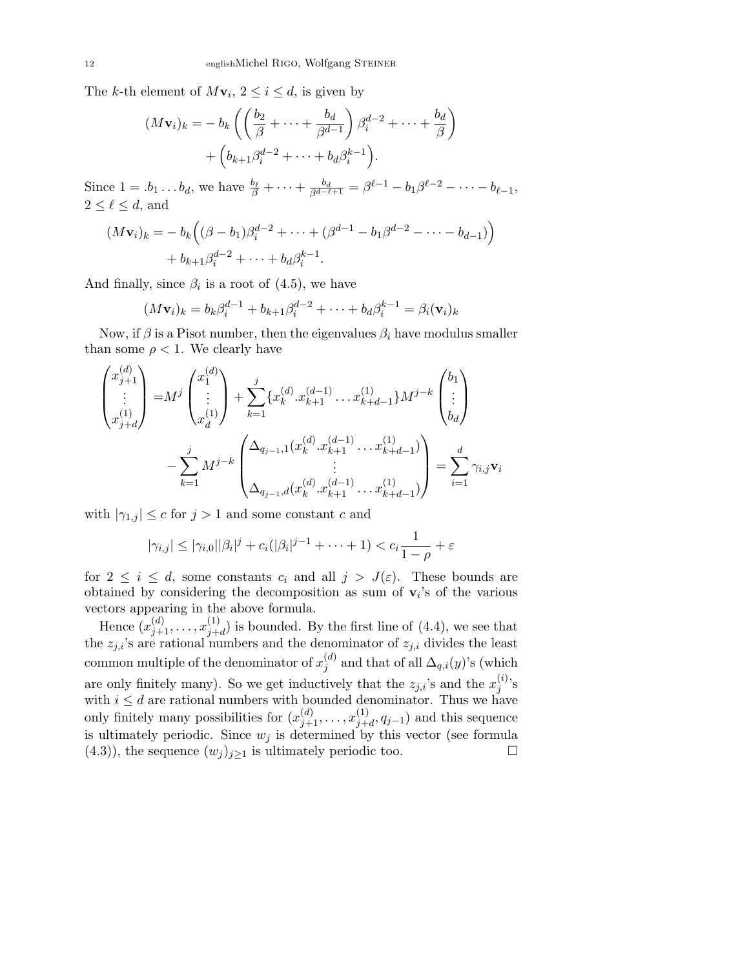The k-th element of  $M\mathbf{v}_i, 2 \leq i \leq d$ , is given by

$$
(M\mathbf{v}_i)_k = -b_k \left( \left( \frac{b_2}{\beta} + \dots + \frac{b_d}{\beta^{d-1}} \right) \beta_i^{d-2} + \dots + \frac{b_d}{\beta} \right) + \left( b_{k+1} \beta_i^{d-2} + \dots + b_d \beta_i^{k-1} \right).
$$

Since  $1 = .b_1 \ldots b_d$ , we have  $\frac{b_\ell}{\beta} + \cdots + \frac{b_d}{\beta^{d-\ell+1}} = \beta^{\ell-1} - b_1 \beta^{\ell-2} - \cdots - b_{\ell-1}$ ,  $2 \leq \ell \leq d$ , and

$$
(M\mathbf{v}_i)_k = -b_k ((\beta - b_1)\beta_i^{d-2} + \dots + (\beta^{d-1} - b_1\beta^{d-2} - \dots - b_{d-1}))
$$
  
+  $b_{k+1}\beta_i^{d-2} + \dots + b_d\beta_i^{k-1}$ .

And finally, since  $\beta_i$  is a root of (4.5), we have

$$
(M\mathbf{v}_i)_k = b_k \beta_i^{d-1} + b_{k+1} \beta_i^{d-2} + \dots + b_d \beta_i^{k-1} = \beta_i(\mathbf{v}_i)_k
$$

Now, if  $\beta$  is a Pisot number, then the eigenvalues  $\beta_i$  have modulus smaller than some  $\rho < 1$ . We clearly have

$$
\begin{pmatrix} x_{j+1}^{(d)} \\ \vdots \\ x_{j+d}^{(1)} \end{pmatrix} = M^j \begin{pmatrix} x_1^{(d)} \\ \vdots \\ x_d^{(1)} \end{pmatrix} + \sum_{k=1}^j \{x_k^{(d)} \cdot x_{k+1}^{(d-1)} \cdot \cdot \cdot x_{k+d-1}^{(1)}\} M^{j-k} \begin{pmatrix} b_1 \\ \vdots \\ b_d \end{pmatrix}
$$

$$
- \sum_{k=1}^j M^{j-k} \begin{pmatrix} \Delta_{q_{j-1},1} (x_k^{(d)} \cdot x_{k+1}^{(d-1)} \cdot \cdot \cdot x_{k+d-1}^{(1)}) \\ \vdots \\ \Delta_{q_{j-1},d} (x_k^{(d)} \cdot x_{k+1}^{(d-1)} \cdot \cdot \cdot x_{k+d-1}^{(1)}) \end{pmatrix} = \sum_{i=1}^d \gamma_{i,j} \mathbf{v}_i
$$

with  $|\gamma_{1,j}| \leq c$  for  $j > 1$  and some constant c and

$$
|\gamma_{i,j}| \leq |\gamma_{i,0}||\beta_i|^j + c_i(|\beta_i|^{j-1} + \cdots + 1) < c_i \frac{1}{1-\rho} + \varepsilon
$$

for  $2 \leq i \leq d$ , some constants  $c_i$  and all  $j > J(\varepsilon)$ . These bounds are obtained by considering the decomposition as sum of  $v_i$ 's of the various vectors appearing in the above formula.

Hence  $(x_{j+1}^{(d)}, \ldots, x_{j+1}^{(1)})$  $j+d$  is bounded. By the first line of  $(4.4)$ , we see that the  $z_{j,i}$ 's are rational numbers and the denominator of  $z_{j,i}$  divides the least common multiple of the denominator of  $x_i^{(d)}$  $j^{(a)}$  and that of all  $\Delta_{q,i}(y)$ 's (which are only finitely many). So we get inductively that the  $z_{j,i}$ 's and the  $x_j^{(i)}$  $j^{(i)}$ 's with  $i \leq d$  are rational numbers with bounded denominator. Thus we have only finitely many possibilities for  $(x_{j+1}^{(d)}, \ldots, x_{j+1}^{(1)})$  $j_{j+d}^{(1)}, q_{j-1}$  and this sequence is ultimately periodic. Since  $w_j$  is determined by this vector (see formula (4.3)), the sequence  $(w_j)_{j\geq 1}$  is ultimately periodic too.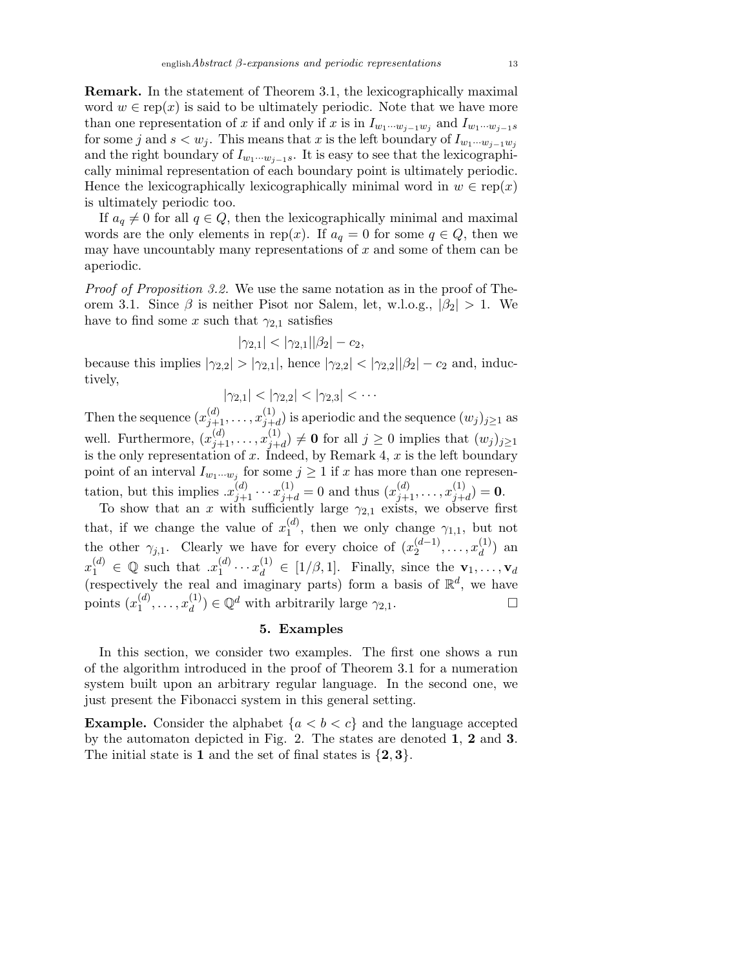Remark. In the statement of Theorem 3.1, the lexicographically maximal word  $w \in \text{rep}(x)$  is said to be ultimately periodic. Note that we have more than one representation of x if and only if x is in  $I_{w_1\cdots w_{j-1}w_j}$  and  $I_{w_1\cdots w_{j-1}s}$ for some j and  $s < w_j$ . This means that x is the left boundary of  $I_{w_1\cdots w_{j-1}w_j}$ and the right boundary of  $I_{w_1\cdots w_{i-1}s}$ . It is easy to see that the lexicographically minimal representation of each boundary point is ultimately periodic. Hence the lexicographically lexicographically minimal word in  $w \in \text{rep}(x)$ is ultimately periodic too.

If  $a_q \neq 0$  for all  $q \in Q$ , then the lexicographically minimal and maximal words are the only elements in rep(x). If  $a_q = 0$  for some  $q \in Q$ , then we may have uncountably many representations of  $x$  and some of them can be aperiodic.

Proof of Proposition 3.2. We use the same notation as in the proof of Theorem 3.1. Since  $\beta$  is neither Pisot nor Salem, let, w.l.o.g.,  $|\beta_2| > 1$ . We have to find some x such that  $\gamma_{2,1}$  satisfies

$$
|\gamma_{2,1}| < |\gamma_{2,1}||\beta_2| - c_2,
$$

because this implies  $|\gamma_{2,2}| > |\gamma_{2,1}|$ , hence  $|\gamma_{2,2}| < |\gamma_{2,2}||\beta_2| - c_2$  and, inductively,

$$
|\gamma_{2,1}|<|\gamma_{2,2}|<|\gamma_{2,3}|<\cdots
$$

Then the sequence  $(x_{j+1}^{(d)}, \ldots, x_{j+1}^{(1)})$  $j+d$ ) is aperiodic and the sequence  $(w_j)_{j\geq 1}$  as well. Furthermore,  $(x_{j+1}^{(d)}, \ldots, x_{j+1}^{(1)})$  $j+d(j) \neq 0$  for all  $j \geq 0$  implies that  $(w_j)_{j\geq 1}$ is the only representation of x. Indeed, by Remark 4,  $x$  is the left boundary point of an interval  $I_{w_1\cdots w_j}$  for some  $j\geq 1$  if x has more than one representation, but this implies  $x_{j+1}^{(d)} \cdots x_{j+d}^{(1)} = 0$  and thus  $(x_{j+1}^{(d)}, \ldots, x_{j+t}^{(1)})$  $j+d$  $) = 0.$ 

To show that an x with sufficiently large  $\gamma_{2,1}$  exists, we observe first that, if we change the value of  $x_1^{(d)}$  $_1^{(a)}$ , then we only change  $\gamma_{1,1}$ , but not the other  $\gamma_{j,1}$ . Clearly we have for every choice of  $(x_2^{(d-1)}$  $x_2^{(d-1)}, \ldots, x_d^{(1)}$  $\binom{1}{d}$  an  $x_1^{(d)} \in \mathbb{Q}$  such that  $x_1^{(d)}$  $\mathbf{y}_1^{(d)} \cdots \mathbf{x}_d^{(1)} \in [1/\beta, 1].$  Finally, since the  $\mathbf{v}_1, \ldots, \mathbf{v}_d$ (respectively the real and imaginary parts) form a basis of  $\mathbb{R}^d$ , we have points  $(x_1^{(d)}$  $x_1^{(d)}, \ldots, x_d^{(1)}$  $\mathcal{Q}_d^{(1)}$ )  $\in \mathbb{Q}^d$  with arbitrarily large  $\gamma_{2,1}$ .

# 5. Examples

In this section, we consider two examples. The first one shows a run of the algorithm introduced in the proof of Theorem 3.1 for a numeration system built upon an arbitrary regular language. In the second one, we just present the Fibonacci system in this general setting.

**Example.** Consider the alphabet  $\{a < b < c\}$  and the language accepted by the automaton depicted in Fig. 2. The states are denoted 1, 2 and 3. The initial state is 1 and the set of final states is  $\{2,3\}$ .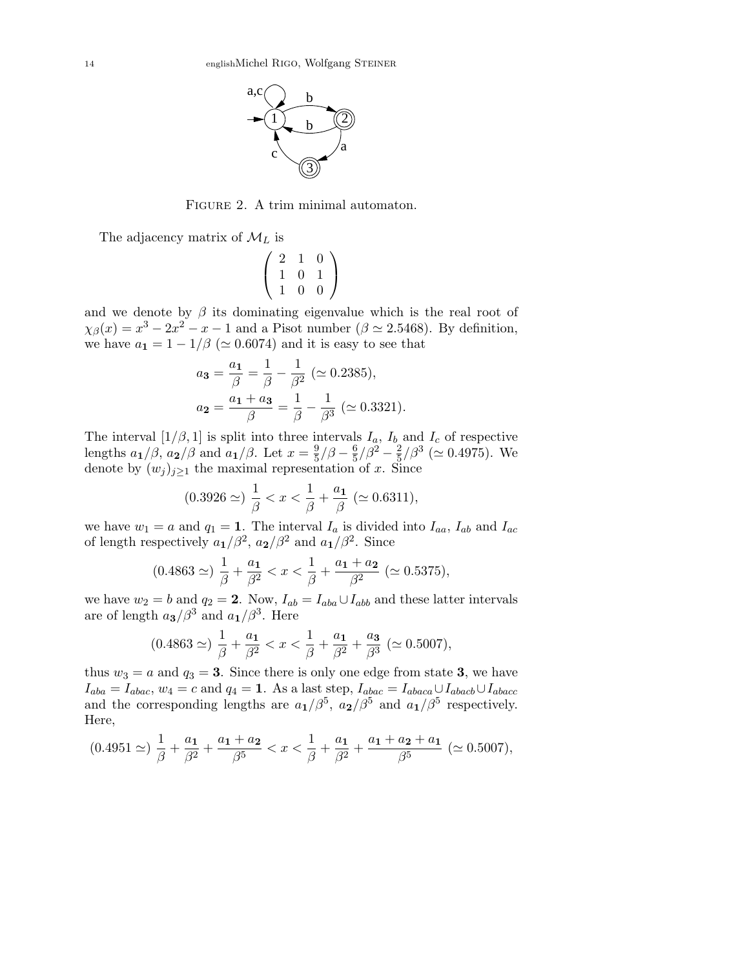

FIGURE 2. A trim minimal automaton.

The adjacency matrix of  $\mathcal{M}_L$  is

$$
\left(\begin{array}{ccc}2&1&0\\1&0&1\\1&0&0\end{array}\right)
$$

and we denote by  $\beta$  its dominating eigenvalue which is the real root of  $\chi_{\beta}(x) = x^3 - 2x^2 - x - 1$  and a Pisot number ( $\beta \simeq 2.5468$ ). By definition, we have  $a_1 = 1 - 1/\beta$  ( $\simeq 0.6074$ ) and it is easy to see that

$$
a_3 = \frac{a_1}{\beta} = \frac{1}{\beta} - \frac{1}{\beta^2} \ (\simeq 0.2385),
$$
  

$$
a_2 = \frac{a_1 + a_3}{\beta} = \frac{1}{\beta} - \frac{1}{\beta^3} \ (\simeq 0.3321).
$$

The interval  $[1/\beta, 1]$  is split into three intervals  $I_a$ ,  $I_b$  and  $I_c$  of respective lengths  $a_1/\beta$ ,  $a_2/\beta$  and  $a_1/\beta$ . Let  $x=\frac{9}{5}$  $\frac{9}{5}/\beta-\frac{6}{5}$  $\frac{6}{5}/\beta^2 - \frac{2}{5}$  $\frac{2}{5}/\beta^3$  ( $\simeq 0.4975$ ). We denote by  $(w_j)_{j\geq 1}$  the maximal representation of x. Since

$$
(0.3926 \simeq) \frac{1}{\beta} < x < \frac{1}{\beta} + \frac{a_1}{\beta} \; (\simeq 0.6311),
$$

we have  $w_1 = a$  and  $q_1 = 1$ . The interval  $I_a$  is divided into  $I_{aa}$ ,  $I_{ab}$  and  $I_{ac}$ of length respectively  $a_1/\beta^2$ ,  $a_2/\beta^2$  and  $a_1/\beta^2$ . Since

$$
(0.4863 \simeq) \frac{1}{\beta} + \frac{a_1}{\beta^2} < x < \frac{1}{\beta} + \frac{a_1 + a_2}{\beta^2} \; (\simeq 0.5375),
$$

we have  $w_2 = b$  and  $q_2 = 2$ . Now,  $I_{ab} = I_{aba} \cup I_{abb}$  and these latter intervals are of length  $a_3/\beta^3$  and  $a_1/\beta^3$ . Here

$$
(0.4863 \simeq) \frac{1}{\beta} + \frac{a_1}{\beta^2} < x < \frac{1}{\beta} + \frac{a_1}{\beta^2} + \frac{a_3}{\beta^3} \; (\simeq 0.5007),
$$

thus  $w_3 = a$  and  $q_3 = 3$ . Since there is only one edge from state 3, we have  $I_{aba} = I_{abac}$ ,  $w_4 = c$  and  $q_4 = 1$ . As a last step,  $I_{abac} = I_{abaca} \cup I_{abacb} \cup I_{abacc}$ and the corresponding lengths are  $a_1/\beta^5$ ,  $a_2/\beta^5$  and  $a_1/\beta^5$  respectively. Here,

$$
(0.4951 \simeq) \frac{1}{\beta} + \frac{a_1}{\beta^2} + \frac{a_1 + a_2}{\beta^5} < x < \frac{1}{\beta} + \frac{a_1}{\beta^2} + \frac{a_1 + a_2 + a_1}{\beta^5} \; (\simeq 0.5007),
$$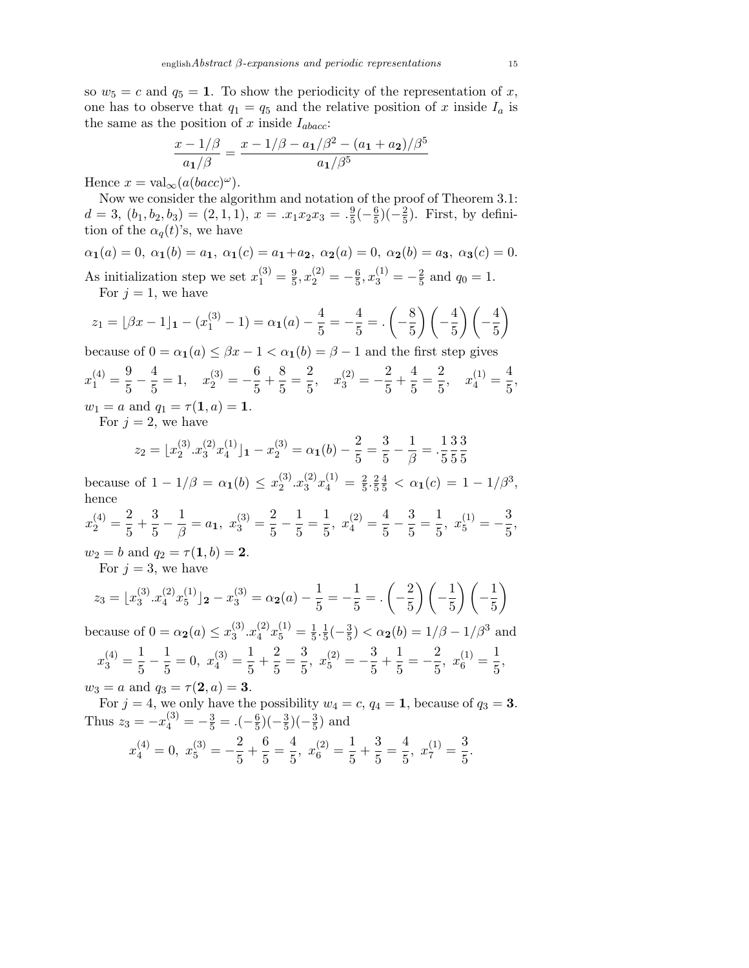so  $w_5 = c$  and  $q_5 = 1$ . To show the periodicity of the representation of x, one has to observe that  $q_1 = q_5$  and the relative position of x inside  $I_a$  is the same as the position of x inside  $I_{abacc}$ :

$$
\frac{x - 1/\beta}{a_1/\beta} = \frac{x - 1/\beta - a_1/\beta^2 - (a_1 + a_2)/\beta^5}{a_1/\beta^5}
$$

Hence  $x = \text{val}_{\infty}(a(bacc)^{\omega}).$ 

Now we consider the algorithm and notation of the proof of Theorem 3.1:  $d = 3, (b_1, b_2, b_3) = (2, 1, 1), x = .x_1x_2x_3 = .\frac{9}{5}$  $\frac{9}{5}(-\frac{6}{5})$  $\frac{6}{5}$ )(- $\frac{2}{5}$  $(\frac{2}{5})$ . First, by definition of the  $\alpha_q(t)$ 's, we have

$$
\alpha_1(a) = 0, \ \alpha_1(b) = a_1, \ \alpha_1(c) = a_1 + a_2, \ \alpha_2(a) = 0, \ \alpha_2(b) = a_3, \ \alpha_3(c) = 0.
$$

As initialization step we set  $x_1^{(3)} = \frac{9}{5}$  $\frac{9}{5}$ ,  $x_2^{(2)} = -\frac{6}{5}$  $\frac{6}{5}$ ,  $x_3^{(1)} = -\frac{2}{5}$  $rac{2}{5}$  and  $q_0 = 1$ . For  $j = 1$ , we have

$$
z_1 = \lfloor \beta x - 1 \rfloor_1 - (x_1^{(3)} - 1) = \alpha_1(a) - \frac{4}{5} = -\frac{4}{5} = \left(-\frac{8}{5}\right)\left(-\frac{4}{5}\right)\left(-\frac{4}{5}\right)
$$

because of  $0 = \alpha_1(a) \leq \beta x - 1 < \alpha_1(b) = \beta - 1$  and the first step gives

$$
x_1^{(4)} = \frac{9}{5} - \frac{4}{5} = 1, \quad x_2^{(3)} = -\frac{6}{5} + \frac{8}{5} = \frac{2}{5}, \quad x_3^{(2)} = -\frac{2}{5} + \frac{4}{5} = \frac{2}{5}, \quad x_4^{(1)} = \frac{4}{5},
$$
  

$$
w_1 = a \text{ and } q_1 = \tau(1, a) = 1.
$$

For  $j = 2$ , we have

$$
z_2 = \lfloor x_2^{(3)} \cdot x_3^{(2)} x_4^{(1)} \rfloor_1 - x_2^{(3)} = \alpha_1(b) - \frac{2}{5} = \frac{3}{5} - \frac{1}{\beta} = \frac{1}{5} \cdot \frac{3}{5} \cdot \frac{3}{5}
$$

because of  $1 - 1/\beta = \alpha_1(b) \leq x_2^{(3)}$  $_{2}^{(3)}.x_{3}^{(2)}$  $\binom{2}{3}x_4^{(1)}=\frac{2}{5}$  $\frac{2}{5} \cdot \frac{2}{5}$ 5  $\frac{4}{5} < \alpha_1(c) = 1 - 1/\beta^3,$ hence  $x_2^{(4)} = \frac{2}{5}$  $\frac{2}{5} + \frac{3}{5}$  $rac{3}{5} - \frac{1}{\beta}$  $\frac{1}{\beta} = a_1, x_3^{(3)} = \frac{2}{5}$  $\frac{2}{5} - \frac{1}{5}$  $\frac{1}{5} = \frac{1}{5}$  $\frac{1}{5}$ ,  $x_4^{(2)} = \frac{4}{5}$  $\frac{4}{5} - \frac{3}{5}$  $\frac{3}{5} = \frac{1}{5}$  $rac{1}{5}$ ,  $x_5^{(1)} = -\frac{3}{5}$  $\frac{8}{5}$  $w_2 = b$  and  $q_2 = \tau(1, b) = 2$ .

For  $j = 3$ , we have

$$
z_3 = \lfloor x_3^{(3)} \cdot x_4^{(2)} x_5^{(1)} \rfloor_2 - x_3^{(3)} = \alpha_2(a) - \frac{1}{5} = -\frac{1}{5} = \left(-\frac{2}{5}\right)\left(-\frac{1}{5}\right)\left(-\frac{1}{5}\right)
$$

because of  $0 = \alpha_2(a) \leq x_3^{(3)}$  $_{3}^{(3)}.x_{4}^{(2)}$  $\binom{2}{4}x_5^{(1)}=\frac{1}{5}$  $\frac{1}{5} \cdot \frac{1}{5}$  $\frac{1}{5}(-\frac{3}{5})$  $(\frac{3}{5}) < \alpha_2(b) = 1/\beta - 1/\beta^3$  and  $x_3^{(4)} = \frac{1}{5}$  $\frac{1}{5} - \frac{1}{5}$  $\frac{1}{5} = 0, \ x_4^{(3)} = \frac{1}{5}$  $\frac{1}{5} + \frac{2}{5}$  $\frac{2}{5} = \frac{3}{5}$  $rac{3}{5}$ ,  $x_5^{(2)} = -\frac{3}{5}$  $\frac{3}{5} + \frac{1}{5}$  $\frac{1}{5} = -\frac{2}{5}$  $rac{2}{5}$ ,  $x_6^{(1)} = \frac{1}{5}$  $\frac{1}{5}$ ,

 $w_3 = a$  and  $q_3 = \tau(2, a) = 3$ .

For  $j = 4$ , we only have the possibility  $w_4 = c$ ,  $q_4 = 1$ , because of  $q_3 = 3$ . Thus  $z_3 = -x_4^{(3)} = -\frac{3}{5} = .(-\frac{6}{5})$  $\frac{6}{5}$ )( $-\frac{3}{5}$  $(\frac{3}{5})(-\frac{3}{5})$  $\frac{3}{5}$ ) and

$$
x_4^{(4)} = 0
$$
,  $x_5^{(3)} = -\frac{2}{5} + \frac{6}{5} = \frac{4}{5}$ ,  $x_6^{(2)} = \frac{1}{5} + \frac{3}{5} = \frac{4}{5}$ ,  $x_7^{(1)} = \frac{3}{5}$ .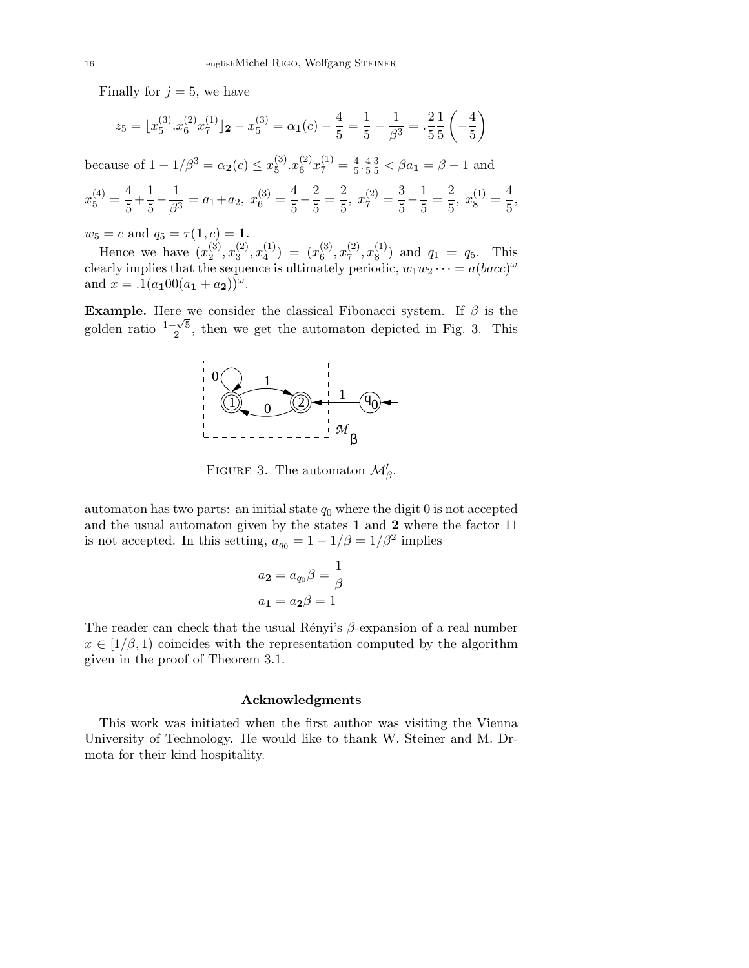Finally for  $j = 5$ , we have

$$
z_5 = \lfloor x_5^{(3)} \cdot x_6^{(2)} \cdot x_7^{(1)} \rfloor_2 - x_5^{(3)} = \alpha_1(c) - \frac{4}{5} = \frac{1}{5} - \frac{1}{\beta^3} = \frac{2}{5} \cdot \frac{1}{5} \left( -\frac{4}{5} \right)
$$

because of  $1 - 1/\beta^3 = \alpha_2(c) \le x_5^{(3)}$  $_{5}^{(3)}.x_{6}^{(2)}$  $\binom{2}{6}x_7^{(1)}=\frac{4}{5}$  $\frac{4}{5} \cdot \frac{4}{5}$ 5  $\frac{3}{5} < \beta a_1 = \beta - 1$  and

$$
x_5^{(4)} = \frac{4}{5} + \frac{1}{5} - \frac{1}{\beta^3} = a_1 + a_2, \ x_6^{(3)} = \frac{4}{5} - \frac{2}{5} = \frac{2}{5}, \ x_7^{(2)} = \frac{3}{5} - \frac{1}{5} = \frac{2}{5}, \ x_8^{(1)} = \frac{4}{5},
$$

 $w_5 = c$  and  $q_5 = \tau(1, c) = 1$ .

Hence we have  $(x_2^{(3)})$  $\binom{3}{2}, x_3^{(2)}$  $\binom{2}{3}, x_4^{(1)}$  $\binom{1}{4}$  =  $\binom{1}{6}$  $\binom{3}{6}, x_7^{(2)}$  $\binom{2}{7}, x_8^{(1)}$  $\binom{1}{8}$  and  $q_1 = q_5$ . This clearly implies that the sequence is ultimately periodic,  $w_1w_2\cdots = a(bacc)^\omega$ and  $x = .1(a_100(a_1 + a_2))^{\omega}$ .

**Example.** Here we consider the classical Fibonacci system. If  $\beta$  is the **Example:** Let  $\frac{1+\sqrt{5}}{2}$  $\frac{2\sqrt{5}}{2}$ , then we get the automaton depicted in Fig. 3. This



FIGURE 3. The automaton  $\mathcal{M}'_{\beta}$ .

automaton has two parts: an initial state  $q_0$  where the digit 0 is not accepted and the usual automaton given by the states 1 and 2 where the factor 11 is not accepted. In this setting,  $a_{q_0} = 1 - 1/\beta = 1/\beta^2$  implies

$$
a_2 = a_{q_0}\beta = \frac{1}{\beta}
$$

$$
a_1 = a_2\beta = 1
$$

The reader can check that the usual Rényi's  $\beta$ -expansion of a real number  $x \in [1/\beta, 1)$  coincides with the representation computed by the algorithm given in the proof of Theorem 3.1.

#### Acknowledgments

This work was initiated when the first author was visiting the Vienna University of Technology. He would like to thank W. Steiner and M. Drmota for their kind hospitality.